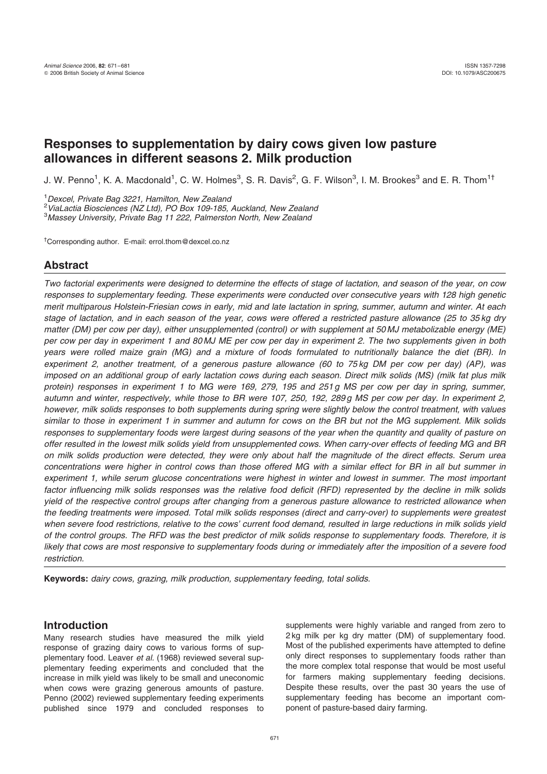## Responses to supplementation by dairy cows given low pasture allowances in different seasons 2. Milk production

J. W. Penno<sup>1</sup>, K. A. Macdonald<sup>1</sup>, C. W. Holmes<sup>3</sup>, S. R. Davis<sup>2</sup>, G. F. Wilson<sup>3</sup>, I. M. Brookes<sup>3</sup> and E. R. Thom<sup>1†</sup>

<sup>1</sup> Dexcel, Private Bag 3221, Hamilton, New Zealand

<sup>2</sup>ViaLactia Biosciences (NZ Ltd), PO Box 109-185, Auckland, New Zealand

<sup>3</sup>Massey University, Private Bag 11 222, Palmerston North, New Zealand

† Corresponding author. E-mail: errol.thom@dexcel.co.nz

## Abstract

Two factorial experiments were designed to determine the effects of stage of lactation, and season of the year, on cow responses to supplementary feeding. These experiments were conducted over consecutive years with 128 high genetic merit multiparous Holstein-Friesian cows in early, mid and late lactation in spring, summer, autumn and winter. At each stage of lactation, and in each season of the year, cows were offered a restricted pasture allowance (25 to 35 kg dry matter (DM) per cow per day), either unsupplemented (control) or with supplement at 50 MJ metabolizable energy (ME) per cow per day in experiment 1 and 80 MJ ME per cow per day in experiment 2. The two supplements given in both years were rolled maize grain (MG) and a mixture of foods formulated to nutritionally balance the diet (BR). In experiment 2, another treatment, of a generous pasture allowance (60 to 75 kg DM per cow per day) (AP), was imposed on an additional group of early lactation cows during each season. Direct milk solids (MS) (milk fat plus milk protein) responses in experiment 1 to MG were 169, 279, 195 and 251 g MS per cow per day in spring, summer, autumn and winter, respectively, while those to BR were 107, 250, 192, 289 g MS per cow per day. In experiment 2, however, milk solids responses to both supplements during spring were slightly below the control treatment, with values similar to those in experiment 1 in summer and autumn for cows on the BR but not the MG supplement. Milk solids responses to supplementary foods were largest during seasons of the year when the quantity and quality of pasture on offer resulted in the lowest milk solids yield from unsupplemented cows. When carry-over effects of feeding MG and BR on milk solids production were detected, they were only about half the magnitude of the direct effects. Serum urea concentrations were higher in control cows than those offered MG with a similar effect for BR in all but summer in experiment 1, while serum glucose concentrations were highest in winter and lowest in summer. The most important factor influencing milk solids responses was the relative food deficit (RFD) represented by the decline in milk solids yield of the respective control groups after changing from a generous pasture allowance to restricted allowance when the feeding treatments were imposed. Total milk solids responses (direct and carry-over) to supplements were greatest when severe food restrictions, relative to the cows' current food demand, resulted in large reductions in milk solids yield of the control groups. The RFD was the best predictor of milk solids response to supplementary foods. Therefore, it is likely that cows are most responsive to supplementary foods during or immediately after the imposition of a severe food restriction.

Keywords: dairy cows, grazing, milk production, supplementary feeding, total solids.

## Introduction

Many research studies have measured the milk yield response of grazing dairy cows to various forms of supplementary food. Leaver et al. (1968) reviewed several supplementary feeding experiments and concluded that the increase in milk yield was likely to be small and uneconomic when cows were grazing generous amounts of pasture. Penno (2002) reviewed supplementary feeding experiments published since 1979 and concluded responses to

supplements were highly variable and ranged from zero to 2 kg milk per kg dry matter (DM) of supplementary food. Most of the published experiments have attempted to define only direct responses to supplementary foods rather than the more complex total response that would be most useful for farmers making supplementary feeding decisions. Despite these results, over the past 30 years the use of supplementary feeding has become an important component of pasture-based dairy farming.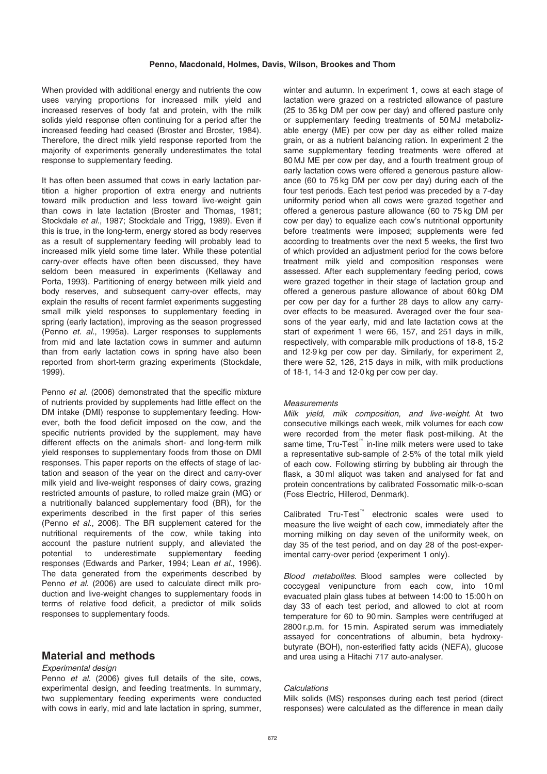When provided with additional energy and nutrients the cow uses varying proportions for increased milk yield and increased reserves of body fat and protein, with the milk solids yield response often continuing for a period after the increased feeding had ceased (Broster and Broster, 1984). Therefore, the direct milk yield response reported from the majority of experiments generally underestimates the total response to supplementary feeding.

It has often been assumed that cows in early lactation partition a higher proportion of extra energy and nutrients toward milk production and less toward live-weight gain than cows in late lactation (Broster and Thomas, 1981; Stockdale et al., 1987; Stockdale and Trigg, 1989). Even if this is true, in the long-term, energy stored as body reserves as a result of supplementary feeding will probably lead to increased milk yield some time later. While these potential carry-over effects have often been discussed, they have seldom been measured in experiments (Kellaway and Porta, 1993). Partitioning of energy between milk yield and body reserves, and subsequent carry-over effects, may explain the results of recent farmlet experiments suggesting small milk yield responses to supplementary feeding in spring (early lactation), improving as the season progressed (Penno et. al., 1995a). Larger responses to supplements from mid and late lactation cows in summer and autumn than from early lactation cows in spring have also been reported from short-term grazing experiments (Stockdale, 1999).

Penno et al. (2006) demonstrated that the specific mixture of nutrients provided by supplements had little effect on the DM intake (DMI) response to supplementary feeding. However, both the food deficit imposed on the cow, and the specific nutrients provided by the supplement, may have different effects on the animals short- and long-term milk yield responses to supplementary foods from those on DMI responses. This paper reports on the effects of stage of lactation and season of the year on the direct and carry-over milk yield and live-weight responses of dairy cows, grazing restricted amounts of pasture, to rolled maize grain (MG) or a nutritionally balanced supplementary food (BR), for the experiments described in the first paper of this series (Penno et al., 2006). The BR supplement catered for the nutritional requirements of the cow, while taking into account the pasture nutrient supply, and alleviated the potential to underestimate supplementary feeding responses (Edwards and Parker, 1994; Lean et al., 1996). The data generated from the experiments described by Penno et al. (2006) are used to calculate direct milk production and live-weight changes to supplementary foods in terms of relative food deficit, a predictor of milk solids responses to supplementary foods.

## Material and methods

## Experimental design

Penno et al. (2006) gives full details of the site, cows, experimental design, and feeding treatments. In summary, two supplementary feeding experiments were conducted with cows in early, mid and late lactation in spring, summer,

winter and autumn. In experiment 1, cows at each stage of lactation were grazed on a restricted allowance of pasture (25 to 35 kg DM per cow per day) and offered pasture only or supplementary feeding treatments of 50 MJ metabolizable energy (ME) per cow per day as either rolled maize grain, or as a nutrient balancing ration. In experiment 2 the same supplementary feeding treatments were offered at 80 MJ ME per cow per day, and a fourth treatment group of early lactation cows were offered a generous pasture allowance (60 to 75 kg DM per cow per day) during each of the four test periods. Each test period was preceded by a 7-day uniformity period when all cows were grazed together and offered a generous pasture allowance (60 to 75 kg DM per cow per day) to equalize each cow's nutritional opportunity before treatments were imposed; supplements were fed according to treatments over the next 5 weeks, the first two of which provided an adjustment period for the cows before treatment milk yield and composition responses were assessed. After each supplementary feeding period, cows were grazed together in their stage of lactation group and offered a generous pasture allowance of about 60 kg DM per cow per day for a further 28 days to allow any carryover effects to be measured. Averaged over the four seasons of the year early, mid and late lactation cows at the start of experiment 1 were 66, 157, and 251 days in milk, respectively, with comparable milk productions of 18·8, 15·2 and 12·9 kg per cow per day. Similarly, for experiment 2, there were 52, 126, 215 days in milk, with milk productions of 18·1, 14·3 and 12·0 kg per cow per day.

#### **Measurements**

Milk yield, milk composition, and live-weight. At two consecutive milkings each week, milk volumes for each cow were recorded from the meter flask post-milking. At the same time, Tru-Test<sup>"</sup> in-line milk meters were used to take a representative sub-sample of 2·5% of the total milk yield of each cow. Following stirring by bubbling air through the flask, a 30 ml aliquot was taken and analysed for fat and protein concentrations by calibrated Fossomatic milk-o-scan (Foss Electric, Hillerod, Denmark).

Calibrated Tru-Test<sup>™</sup> electronic scales were used to measure the live weight of each cow, immediately after the morning milking on day seven of the uniformity week, on day 35 of the test period, and on day 28 of the post-experimental carry-over period (experiment 1 only).

Blood metabolites. Blood samples were collected by coccygeal venipuncture from each cow, into 10 ml evacuated plain glass tubes at between 14:00 to 15:00 h on day 33 of each test period, and allowed to clot at room temperature for 60 to 90 min. Samples were centrifuged at 2800 r.p.m. for 15 min. Aspirated serum was immediately assayed for concentrations of albumin, beta hydroxybutyrate (BOH), non-esterified fatty acids (NEFA), glucose and urea using a Hitachi 717 auto-analyser.

#### **Calculations**

Milk solids (MS) responses during each test period (direct responses) were calculated as the difference in mean daily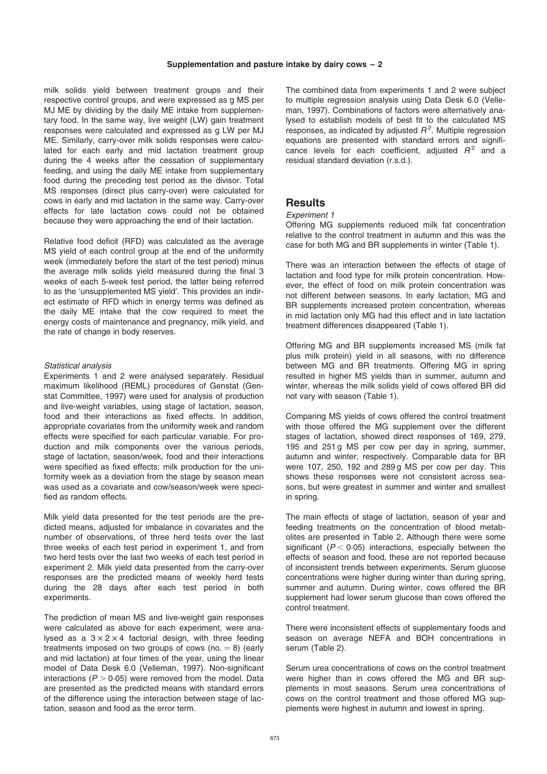milk solids yield between treatment groups and their respective control groups, and were expressed as g MS per MJ ME by dividing by the daily ME intake from supplementary food. In the same way, live weight (LW) gain treatment responses were calculated and expressed as g LW per MJ ME. Similarly, carry-over milk solids responses were calculated for each early and mid lactation treatment group during the 4 weeks after the cessation of supplementary feeding, and using the daily ME intake from supplementary food during the preceding test period as the divisor. Total MS responses (direct plus carry-over) were calculated for cows in early and mid lactation in the same way. Carry-over effects for late lactation cows could not be obtained because they were approaching the end of their lactation.

Relative food deficit (RFD) was calculated as the average MS yield of each control group at the end of the uniformity week (immediately before the start of the test period) minus the average milk solids yield measured during the final 3 weeks of each 5-week test period, the latter being referred to as the 'unsupplemented MS yield'. This provides an indirect estimate of RFD which in energy terms was defined as the daily ME intake that the cow required to meet the energy costs of maintenance and pregnancy, milk yield, and the rate of change in body reserves.

#### Statistical analysis

Experiments 1 and 2 were analysed separately. Residual maximum likelihood (REML) procedures of Genstat (Genstat Committee, 1997) were used for analysis of production and live-weight variables, using stage of lactation, season, food and their interactions as fixed effects. In addition, appropriate covariates from the uniformity week and random effects were specified for each particular variable. For production and milk components over the various periods, stage of lactation, season/week, food and their interactions were specified as fixed effects; milk production for the uniformity week as a deviation from the stage by season mean was used as a covariate and cow/season/week were specified as random effects.

Milk yield data presented for the test periods are the predicted means, adjusted for imbalance in covariates and the number of observations, of three herd tests over the last three weeks of each test period in experiment 1, and from two herd tests over the last two weeks of each test period in experiment 2. Milk yield data presented from the carry-over responses are the predicted means of weekly herd tests during the 28 days after each test period in both experiments.

The prediction of mean MS and live-weight gain responses were calculated as above for each experiment, were analysed as a  $3 \times 2 \times 4$  factorial design, with three feeding treatments imposed on two groups of cows (no.  $= 8$ ) (early and mid lactation) at four times of the year, using the linear model of Data Desk 6.0 (Velleman, 1997). Non-significant interactions ( $P > 0.05$ ) were removed from the model. Data are presented as the predicted means with standard errors of the difference using the interaction between stage of lactation, season and food as the error term.

The combined data from experiments 1 and 2 were subject to multiple regression analysis using Data Desk 6.0 (Velleman, 1997). Combinations of factors were alternatively analysed to establish models of best fit to the calculated MS responses, as indicated by adjusted  $R^2$ . Multiple regression equations are presented with standard errors and significance levels for each coefficient, adjusted  $R^2$  and a residual standard deviation (r.s.d.).

## **Results**

#### Experiment 1

Offering MG supplements reduced milk fat concentration relative to the control treatment in autumn and this was the case for both MG and BR supplements in winter (Table 1).

There was an interaction between the effects of stage of lactation and food type for milk protein concentration. However, the effect of food on milk protein concentration was not different between seasons. In early lactation, MG and BR supplements increased protein concentration, whereas in mid lactation only MG had this effect and in late lactation treatment differences disappeared (Table 1).

Offering MG and BR supplements increased MS (milk fat plus milk protein) yield in all seasons, with no difference between MG and BR treatments. Offering MG in spring resulted in higher MS yields than in summer, autumn and winter, whereas the milk solids yield of cows offered BR did not vary with season (Table 1).

Comparing MS yields of cows offered the control treatment with those offered the MG supplement over the different stages of lactation, showed direct responses of 169, 279, 195 and 251 g MS per cow per day in spring, summer, autumn and winter, respectively. Comparable data for BR were 107, 250, 192 and 289 g MS per cow per day. This shows these responses were not consistent across seasons, but were greatest in summer and winter and smallest in spring.

The main effects of stage of lactation, season of year and feeding treatments on the concentration of blood metabolites are presented in Table 2. Although there were some significant ( $P < 0.05$ ) interactions, especially between the effects of season and food, these are not reported because of inconsistent trends between experiments. Serum glucose concentrations were higher during winter than during spring, summer and autumn. During winter, cows offered the BR supplement had lower serum glucose than cows offered the control treatment.

There were inconsistent effects of supplementary foods and season on average NEFA and BOH concentrations in serum (Table 2).

Serum urea concentrations of cows on the control treatment were higher than in cows offered the MG and BR supplements in most seasons. Serum urea concentrations of cows on the control treatment and those offered MG supplements were highest in autumn and lowest in spring.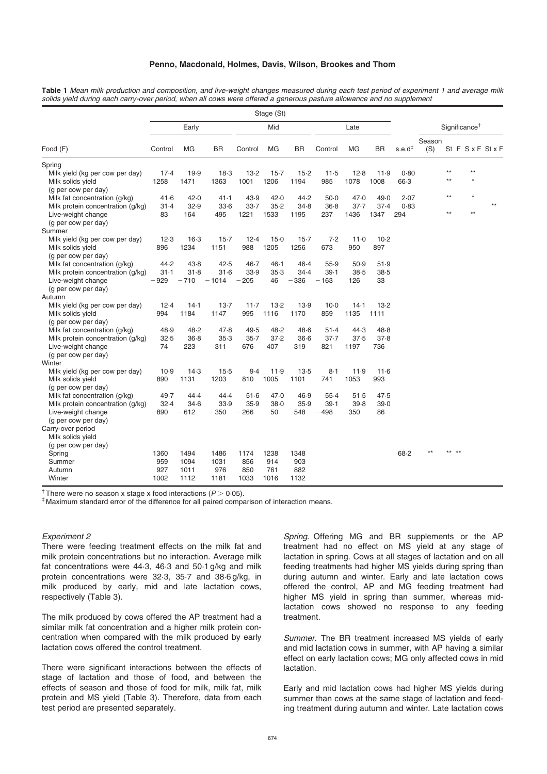## Penno, Macdonald, Holmes, Davis, Wilson, Brookes and Thom

|                                   |          |          |           |          | Stage (St) |           |          |          |           |                    |                           |       |                   |      |
|-----------------------------------|----------|----------|-----------|----------|------------|-----------|----------|----------|-----------|--------------------|---------------------------|-------|-------------------|------|
|                                   |          | Early    |           |          | Mid        |           |          | Late     |           |                    | Significance <sup>†</sup> |       |                   |      |
| Food (F)                          | Control  | MG       | <b>BR</b> | Control  | MG         | <b>BR</b> | Control  | MG       | <b>BR</b> | $s.e.d^{\ddagger}$ | Season<br>(S)             |       | St F S x F St x F |      |
| Spring                            |          |          |           |          |            |           |          |          |           |                    |                           |       |                   |      |
| Milk yield (kg per cow per day)   | 17.4     | 19.9     | 18.3      | $13-2$   | $15-7$     | $15-2$    | 11.5     | 12.8     | 11.9      | 0.80               |                           | $**$  | $**$              |      |
| Milk solids yield                 | 1258     | 1471     | 1363      | 1001     | 1206       | 1194      | 985      | 1078     | 1008      | 66-3               |                           | $**$  |                   |      |
| (g per cow per day)               |          |          |           |          |            |           |          |          |           |                    |                           |       |                   |      |
| Milk fat concentration (g/kg)     | 41.6     | 42.0     | 41.1      | 43.9     | 42.0       | 44.2      | $50-0$   | 47.0     | 49.0      | 2.07               |                           | $**$  | $\star$           |      |
| Milk protein concentration (g/kg) | $31 - 4$ | 32.9     | 33.6      | $33 - 7$ | $35 - 2$   | 34.8      | $36 - 8$ | $37 - 7$ | 37.4      | 0.83               |                           |       |                   | $**$ |
| Live-weight change                | 83       | 164      | 495       | 1221     | 1533       | 1195      | 237      | 1436     | 1347      | 294                |                           | $**$  | $**$              |      |
| (q per cow per day)               |          |          |           |          |            |           |          |          |           |                    |                           |       |                   |      |
| Summer                            |          |          |           |          |            |           |          |          |           |                    |                           |       |                   |      |
| Milk yield (kg per cow per day)   | 12.3     | $16-3$   | $15-7$    | 12.4     | $15-0$     | $15-7$    | 7.2      | 11.0     | $10-2$    |                    |                           |       |                   |      |
| Milk solids yield                 | 896      | 1234     | 1151      | 988      | 1205       | 1256      | 673      | 950      | 897       |                    |                           |       |                   |      |
| (g per cow per day)               |          |          |           |          |            |           |          |          |           |                    |                           |       |                   |      |
| Milk fat concentration (g/kg)     | 44.2     | 43.8     | 42.5      | $46 - 7$ | 46.1       | 46.4      | 55.9     | 50.9     | 51.9      |                    |                           |       |                   |      |
| Milk protein concentration (q/kq) | $31 - 1$ | 31.8     | 31.6      | 33.9     | $35-3$     | 34.4      | 39.1     | $38 - 5$ | 38.5      |                    |                           |       |                   |      |
| Live-weight change                | $-929$   | $-710$   | $-1014$   | $-205$   | 46         | $-336$    | $-163$   | 126      | 33        |                    |                           |       |                   |      |
| (g per cow per day)               |          |          |           |          |            |           |          |          |           |                    |                           |       |                   |      |
| Autumn                            |          |          |           |          |            |           |          |          |           |                    |                           |       |                   |      |
| Milk yield (kg per cow per day)   | 12.4     | $14-1$   | $13-7$    | $11-7$   | $13-2$     | 13.9      | $10-0$   | 14.1     | $13-2$    |                    |                           |       |                   |      |
| Milk solids yield                 | 994      | 1184     | 1147      | 995      | 1116       | 1170      | 859      | 1135     | 1111      |                    |                           |       |                   |      |
| (g per cow per day)               |          |          |           |          |            |           |          |          |           |                    |                           |       |                   |      |
| Milk fat concentration (g/kg)     | 48.9     | 48.2     | 47.8      | 49.5     | 48.2       | 48.6      | 51.4     | 44.3     | 48.8      |                    |                           |       |                   |      |
| Milk protein concentration (g/kg) | 32.5     | $36 - 8$ | $35-3$    | $35 - 7$ | 37.2       | $36-6$    | $37 - 7$ | 37.5     | 37.8      |                    |                           |       |                   |      |
| Live-weight change                | 74       | 223      | 311       | 676      | 407        | 319       | 821      | 1197     | 736       |                    |                           |       |                   |      |
| (g per cow per day)               |          |          |           |          |            |           |          |          |           |                    |                           |       |                   |      |
| Winter                            |          |          |           |          |            |           |          |          |           |                    |                           |       |                   |      |
| Milk yield (kg per cow per day)   | $10-9$   | 14.3     | $15-5$    | 9.4      | 11.9       | 13.5      | $8-1$    | 11.9     | 11.6      |                    |                           |       |                   |      |
| Milk solids yield                 | 890      | 1131     | 1203      | 810      | 1005       | 1101      | 741      | 1053     | 993       |                    |                           |       |                   |      |
| (g per cow per day)               |          |          |           |          |            |           |          |          |           |                    |                           |       |                   |      |
| Milk fat concentration (g/kg)     | 49.7     | 44.4     | 44.4      | 51.6     | 47.0       | 46.9      | $55-4$   | 51.5     | 47.5      |                    |                           |       |                   |      |
| Milk protein concentration (g/kg) | 32.4     | 34.6     | 33.9      | 35.9     | $38 - 0$   | 35.9      | 39.1     | 39.8     | $39 - 0$  |                    |                           |       |                   |      |
| Live-weight change                | $-890$   | $-612$   | $-350$    | $-266$   | 50         | 548       | $-498$   | $-350$   | 86        |                    |                           |       |                   |      |
| (g per cow per day)               |          |          |           |          |            |           |          |          |           |                    |                           |       |                   |      |
| Carry-over period                 |          |          |           |          |            |           |          |          |           |                    |                           |       |                   |      |
| Milk solids yield                 |          |          |           |          |            |           |          |          |           |                    |                           |       |                   |      |
| (g per cow per day)               |          |          |           |          |            |           |          |          |           |                    |                           |       |                   |      |
| Spring                            | 1360     | 1494     | 1486      | 1174     | 1238       | 1348      |          |          |           | 68.2               |                           | ** ** |                   |      |
| Summer                            | 959      | 1094     | 1031      | 856      | 914        | 903       |          |          |           |                    |                           |       |                   |      |
| Autumn                            | 927      | 1011     | 976       | 850      | 761        | 882       |          |          |           |                    |                           |       |                   |      |
| Winter                            | 1002     | 1112     | 1181      | 1033     | 1016       | 1132      |          |          |           |                    |                           |       |                   |      |
|                                   |          |          |           |          |            |           |          |          |           |                    |                           |       |                   |      |

Table 1 Mean milk production and composition, and live-weight changes measured during each test period of experiment 1 and average milk solids yield during each carry-over period, when all cows were offered a generous pasture allowance and no supplement

<sup>†</sup>There were no season x stage x food interactions ( $P > 0.05$ ).<br><sup>‡</sup> Maximum standard error of the difference for all paired comparison of interaction means.

#### Experiment 2

There were feeding treatment effects on the milk fat and milk protein concentrations but no interaction. Average milk fat concentrations were 44·3, 46·3 and 50·1 g/kg and milk protein concentrations were 32·3, 35·7 and 38·6 g/kg, in milk produced by early, mid and late lactation cows, respectively (Table 3).

The milk produced by cows offered the AP treatment had a similar milk fat concentration and a higher milk protein concentration when compared with the milk produced by early lactation cows offered the control treatment.

There were significant interactions between the effects of stage of lactation and those of food, and between the effects of season and those of food for milk, milk fat, milk protein and MS yield (Table 3). Therefore, data from each test period are presented separately.

Spring. Offering MG and BR supplements or the AP treatment had no effect on MS yield at any stage of lactation in spring. Cows at all stages of lactation and on all feeding treatments had higher MS yields during spring than during autumn and winter. Early and late lactation cows offered the control, AP and MG feeding treatment had higher MS yield in spring than summer, whereas midlactation cows showed no response to any feeding treatment.

Summer. The BR treatment increased MS yields of early and mid lactation cows in summer, with AP having a similar effect on early lactation cows; MG only affected cows in mid lactation.

Early and mid lactation cows had higher MS yields during summer than cows at the same stage of lactation and feeding treatment during autumn and winter. Late lactation cows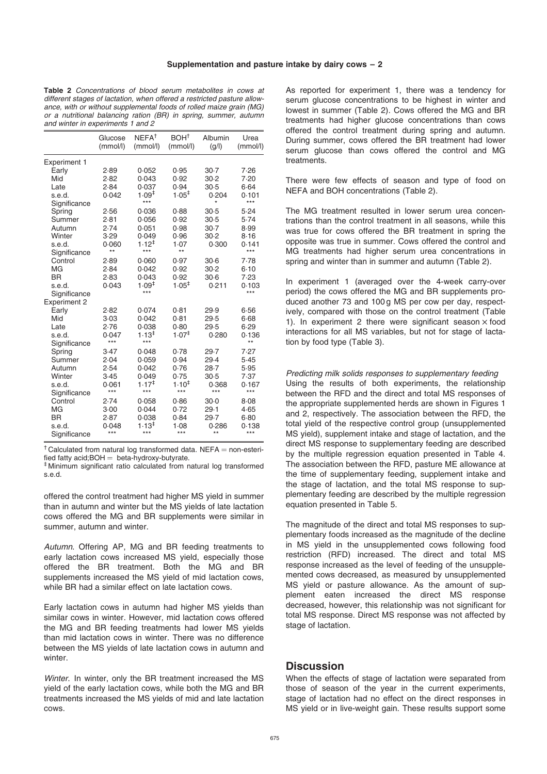Table 2 Concentrations of blood serum metabolites in cows at different stages of lactation, when offered a restricted pasture allowance, with or without supplemental foods of rolled maize grain (MG) or a nutritional balancing ration (BR) in spring, summer, autumn and winter in experiments 1 and 2

|                              | Glucose<br>(mmol/l)   | $NEFA^{\dagger}$<br>(mmol/l) | BOH <sup>t</sup><br>(mmol/l) | Albumin<br>(q/1) | Urea<br>(mmol/l) |
|------------------------------|-----------------------|------------------------------|------------------------------|------------------|------------------|
| <b>Experiment 1</b><br>Early | 2.89                  | 0.052                        | 0.95                         | $30-7$           | 7.26             |
| Mid                          | 2.82                  | 0.043                        | 0.92                         | 30.2             | 7.20             |
| Late                         | 2.84                  | 0.037                        | 0.94                         | 30.5             | 6.64             |
| s.e.d.<br>Significance       | 0.042                 | $1.09^{\ddagger}$<br>$***$   | $1.05^{\ddagger}$            | 0.204<br>÷       | 0.101<br>$***$   |
| Spring                       | 2.56                  | 0.036                        | 0.88                         | 30.5             | 5.24             |
| Summer                       | 2.81                  | 0.056                        | 0.92                         | 30.5             | 5.74             |
| Autumn                       | 2.74                  | 0.051                        | 0.98                         | $30-7$           | 8.99             |
| Winter                       | 3.29                  | 0.049                        | 0.96                         | 30.2             | 8.16             |
| s.e.d.                       | 0.060<br>$\star\star$ | $1.12^{\ddagger}$<br>$***$   | 1.07<br>$***$                | 0.300            | 0.141<br>$***$   |
| Significance<br>Control      | 2.89                  | 0.060                        | 0.97                         | 30.6             | 7.78             |
| MG                           | 2.84                  | 0.042                        | 0.92                         | 30.2             | 6.10             |
| <b>BR</b>                    | 2.83                  | 0.043                        | 0.92                         | 30.6             | 7.23             |
| s.e.d.                       | 0.043                 | $1.09^{\ddagger}$            | $1.05^{\ddagger}$            | 0.211            | 0.103            |
| Significance                 |                       | ***                          |                              |                  | $***$            |
| <b>Experiment 2</b>          |                       |                              |                              |                  |                  |
| Early                        | 2.82                  | 0.074                        | 0.81                         | 29.9             | 6.56             |
| Mid                          | 3.03                  | 0.042                        | 0.81                         | 29.5             | 6.68             |
| Late                         | 2.76                  | 0.038                        | 0.80                         | 29.5             | 6.29             |
| s.e.d.                       | 0.047                 | $1.13^{\ddagger}$            | 1.07 <sup>‡</sup>            | 0.280            | 0.136            |
| Significance                 | ***                   | ***                          |                              |                  | $***$            |
| Spring                       | 3.47                  | 0.048                        | 0.78                         | 29.7             | 7.27             |
| Summer                       | 2.04                  | 0.059                        | 0.94                         | 29.4             | 5.45             |
| Autumn                       | 2.54                  | 0.042                        | 0.76                         | 28.7             | 5.95             |
| Winter                       | 3.45                  | 0.049                        | 0.75                         | 30.5             | 7.37             |
| s.e.d.<br>Significance       | 0.061<br>***          | $1.17^{\ddagger}$<br>$***$   | $1.10^{4}$<br>$***$          | 0.368<br>$***$   | 0.167<br>$***$   |
| Control                      | 2.74                  | 0.058                        | 0.86                         | $30-0$           | 8.08             |
| MG                           | 3.00                  | 0.044                        | 0.72                         | 29.1             | 4.65             |
| <b>BR</b>                    | 2.87                  | 0.038                        | 0.84                         | 29.7             | $6 - 80$         |
| s.e.d.                       | 0.048                 | $1.13^{\ddagger}$            | 1.08                         | 0.286            | 0.138            |
| Significance                 | ***                   | ***                          | ***                          | $***$            | ***              |

<sup>†</sup> Calculated from natural log transformed data. NEFA = non-esteri-

fied fatty acid;BOH = beta-hydroxy-butyrate.<br> $\frac{1}{4}$  Minimum significant ratio calculated from natural log transformed s.e.d.

offered the control treatment had higher MS yield in summer than in autumn and winter but the MS yields of late lactation cows offered the MG and BR supplements were similar in summer, autumn and winter.

Autumn. Offering AP, MG and BR feeding treatments to early lactation cows increased MS yield, especially those offered the BR treatment. Both the MG and BR supplements increased the MS yield of mid lactation cows, while BR had a similar effect on late lactation cows.

Early lactation cows in autumn had higher MS yields than similar cows in winter. However, mid lactation cows offered the MG and BR feeding treatments had lower MS yields than mid lactation cows in winter. There was no difference between the MS yields of late lactation cows in autumn and winter.

Winter. In winter, only the BR treatment increased the MS yield of the early lactation cows, while both the MG and BR treatments increased the MS yields of mid and late lactation cows.

As reported for experiment 1, there was a tendency for serum glucose concentrations to be highest in winter and lowest in summer (Table 2). Cows offered the MG and BR treatments had higher glucose concentrations than cows offered the control treatment during spring and autumn. During summer, cows offered the BR treatment had lower serum glucose than cows offered the control and MG treatments.

There were few effects of season and type of food on NEFA and BOH concentrations (Table 2).

The MG treatment resulted in lower serum urea concentrations than the control treatment in all seasons, while this was true for cows offered the BR treatment in spring the opposite was true in summer. Cows offered the control and MG treatments had higher serum urea concentrations in spring and winter than in summer and autumn (Table 2).

In experiment 1 (averaged over the 4-week carry-over period) the cows offered the MG and BR supplements produced another 73 and 100 g MS per cow per day, respectively, compared with those on the control treatment (Table 1). In experiment 2 there were significant season  $\times$  food interactions for all MS variables, but not for stage of lactation by food type (Table 3).

Predicting milk solids responses to supplementary feeding Using the results of both experiments, the relationship between the RFD and the direct and total MS responses of the appropriate supplemented herds are shown in Figures 1 and 2, respectively. The association between the RFD, the total yield of the respective control group (unsupplemented MS yield), supplement intake and stage of lactation, and the direct MS response to supplementary feeding are described by the multiple regression equation presented in Table 4. The association between the RFD, pasture ME allowance at the time of supplementary feeding, supplement intake and the stage of lactation, and the total MS response to supplementary feeding are described by the multiple regression equation presented in Table 5.

The magnitude of the direct and total MS responses to supplementary foods increased as the magnitude of the decline in MS yield in the unsupplemented cows following food restriction (RFD) increased. The direct and total MS response increased as the level of feeding of the unsupplemented cows decreased, as measured by unsupplemented MS yield or pasture allowance. As the amount of supplement eaten increased the direct MS response decreased, however, this relationship was not significant for total MS response. Direct MS response was not affected by stage of lactation.

## **Discussion**

When the effects of stage of lactation were separated from those of season of the year in the current experiments, stage of lactation had no effect on the direct responses in MS yield or in live-weight gain. These results support some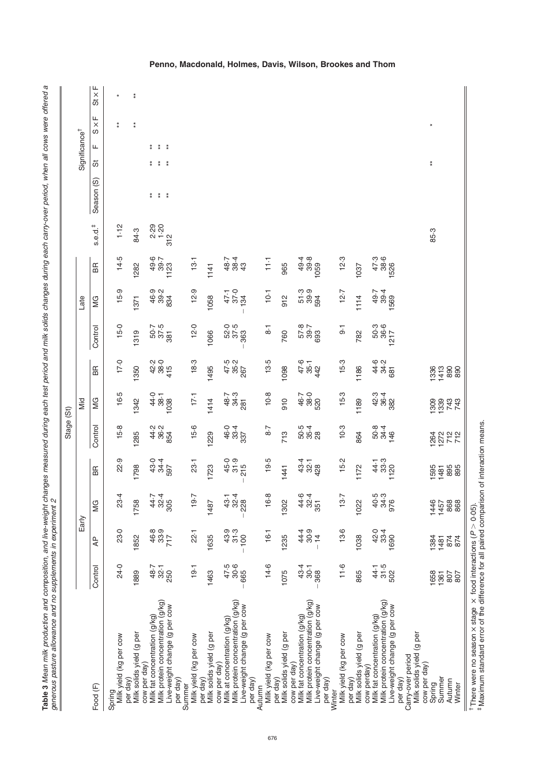| \$<br>¢             |                   |  |
|---------------------|-------------------|--|
|                     |                   |  |
|                     |                   |  |
|                     |                   |  |
|                     |                   |  |
|                     |                   |  |
|                     |                   |  |
| م<br>م              |                   |  |
|                     |                   |  |
|                     |                   |  |
|                     |                   |  |
|                     |                   |  |
|                     |                   |  |
|                     |                   |  |
|                     |                   |  |
| I                   |                   |  |
| J                   |                   |  |
|                     |                   |  |
|                     |                   |  |
| naes<br>5<br>¢<br>١ |                   |  |
| l                   | Į<br>S<br>Ī       |  |
|                     | i<br>İ            |  |
| cition of           |                   |  |
|                     | į                 |  |
| -                   |                   |  |
| המחת                | ֞֘֝               |  |
| <u>ે</u>            |                   |  |
|                     | <b>CONTRACTOR</b> |  |
| į<br>l              |                   |  |
|                     | へいへい              |  |

|                                                                                    |                |                  |                           |                            | Stage (St)                |                               |                                                        |                      |                            |                      |                      |                   |                           |                         |   |               |
|------------------------------------------------------------------------------------|----------------|------------------|---------------------------|----------------------------|---------------------------|-------------------------------|--------------------------------------------------------|----------------------|----------------------------|----------------------|----------------------|-------------------|---------------------------|-------------------------|---|---------------|
|                                                                                    |                | Early            |                           |                            |                           | Mid                           |                                                        |                      | Late                       |                      |                      |                   | Significance <sup>t</sup> |                         |   |               |
| Food (F)                                                                           | Control        | $\overline{4}$   | МG                        | ВR                         | Control                   | МG                            | BR                                                     | Control              | МG                         | BR                   | s.e.d.               | Season (S)        | ö                         | $\times$<br>လ<br>щ      | Щ | $St \times F$ |
| Spring<br>Milk yield (kg per cow                                                   | 24.0           | 23.0             | 23.4                      | 22.9                       | $15-8$                    | 16.5                          | 17.0                                                   | $15-0$               | 15.9                       | 14.5                 | 1.12                 |                   |                           | $\frac{*}{*}$           |   |               |
| Milk solids yield (g per<br>per day)                                               | 1889           | 1852             | 1758                      | 1798                       | 1285                      | 1342                          | 1350                                                   | 1319                 | 1371                       | 1282                 | 84.3                 |                   |                           | $*$                     |   | $\frac{*}{*}$ |
| Milk protein concentration (g/kg)<br>Milk fat concentration (g/kg)<br>cow per day) | 48.7<br>32.1   | 46.9<br>33.      | $4980$<br>$4980$<br>$474$ | $43.0$<br>$34.0$<br>$43.0$ | $44.2$<br>$46.2$<br>$854$ | $44.0$<br>$1038$<br>$1038$    | $42.2$<br>$38.0$<br>$415$                              | 50.7<br>37.5<br>381  | 46.9<br>46.9<br>4 8 9      | 49.6<br>39.7<br>1123 | 23<br>23<br>25<br>25 | $\stackrel{*}{*}$ |                           | $\frac{*}{*}$<br>$\ast$ |   |               |
| Live-weight change (g per cow<br>per day)                                          | 250            | 717              |                           |                            |                           |                               |                                                        |                      |                            |                      |                      | $*$ *             | $\ddot{i}$                | $\frac{*}{*}$           |   |               |
| Milk yield (kg per cow<br>per day)<br>Summer                                       | 19.1           | 22.1             | 19.7                      | $23 - 1$                   | 15.6                      | 17.1                          | 18.3                                                   | 12.0                 | 12.9                       | 13.1                 |                      |                   |                           |                         |   |               |
| Milk solids yield (g per                                                           | 1463           | 1635             | 1487                      | 1723                       | 1229                      | 1414                          | 1495                                                   | 1066                 | 1058                       | 1141                 |                      |                   |                           |                         |   |               |
| Milk protein concentration (g/kg)<br>Milk at concentration (g/kg)<br>cow per day)  | 47.5<br>30.6   | $43.9$<br>$31.3$ | $43.4$<br>32.4            | $45.0$<br>$31.5$<br>$215$  | $46.0$<br>33.7<br>46.0    | $48.7$<br>$34.3$<br>281       | 47.5<br>35.2<br>267                                    | 52.0<br>37.5<br>363  | $47.1$<br>$-134$<br>$-134$ | ಕೆ ಜ ಕೆ<br>ಕೆ ಜ ಕೆ   |                      |                   |                           |                         |   |               |
| Live-weight change (g per cow<br>per day)<br>Autumn                                | 665            | 100              | 228                       |                            |                           |                               |                                                        |                      |                            |                      |                      |                   |                           |                         |   |               |
| Milk yield (kg per cow<br>per day)                                                 | 14.6           | 16.1             | 16.8                      | 19.5                       | 8.7                       | 10.8                          | 13.5                                                   | $\overline{6}$       | 10.1                       | $\frac{1}{11}$       |                      |                   |                           |                         |   |               |
| Milk solids yield (g per<br>cow per day)                                           | 1075           | 1235             | 1302                      | 1441                       | 713                       | 910                           | 1098                                                   | 760                  | 912                        | 965                  |                      |                   |                           |                         |   |               |
| Milk protein concentration (g/kg)<br>Milk fat concentration (g/kg)                 | $43.1$<br>30.1 | 4 8 4<br>4 9 4   | 44.6<br>32.4              | $43.4$<br>$43.4$<br>$43.4$ | 50.38<br>95.4<br>50.4     | 46.7<br>38.0<br>520           | $47.6$<br>$45.1$<br>$442$                              | 57.8<br>39.7<br>693  | 51.3<br>59.9<br>594        |                      |                      |                   |                           |                         |   |               |
| Live-weight change (g per cow<br>per day)                                          | 368            |                  | 351                       |                            |                           |                               |                                                        |                      |                            | 49.4<br>39.9<br>1059 |                      |                   |                           |                         |   |               |
| Milk yield (kg per cow<br>Winter                                                   | 11.6           | 13.6             | $13-7$                    | $15-2$                     | 10.3                      | $15-3$                        | $15-3$                                                 | $\overline{6}$       | 12.7                       | 12.3                 |                      |                   |                           |                         |   |               |
| Milk solids yield (g per<br>per day)                                               | 865            | 1038             | 1022                      | 1172                       | 864                       | 1189                          | 1186                                                   | 782                  | 1114                       | 1037                 |                      |                   |                           |                         |   |               |
| Milk fat concentration (g/kg)<br>cow perday)                                       | 44.1           |                  |                           |                            |                           |                               |                                                        |                      |                            |                      |                      |                   |                           |                         |   |               |
| Milk protein concentration (g/kg)<br>Live-weight change (g per cow                 | $31.5$<br>502  | $4890$<br>$4890$ | 4 3 76<br>9 4 9<br>4 9 9  | $44.1$<br>$33.3$<br>1120   | 50.34<br>0.34<br>50.4     | 4 3 8 8<br>4 9 8 9<br>4 9 8 9 | $\begin{array}{c} 4 & 4 \\ 4 & 2 \\ 2 & 2 \end{array}$ | 50.3<br>1217<br>1217 | 1569<br>1569<br>1569       | 47.3<br>38.6<br>1526 |                      |                   |                           |                         |   |               |
| Milk solids yield (g per<br>Carry-over period<br>per day)                          |                |                  |                           |                            |                           |                               |                                                        |                      |                            |                      |                      |                   |                           |                         |   |               |
| cow per day)<br>Summer<br>Spring                                                   | 1658<br>1361   | 1384<br>1481     | 1446<br>1457              | 1595<br>1481               |                           | 1309<br>1339<br>743           | 1336<br>1413                                           |                      |                            |                      | 85.3                 |                   | $\ast$                    |                         |   |               |
| Autumn<br>Winter                                                                   | 807<br>807     | 874<br>874       | 868<br>868                | 895                        | 12027<br>1272<br>1272     | 743                           | 890                                                    |                      |                            |                      |                      |                   |                           |                         |   |               |

## Penno, Macdonald, Holmes, Davis, Wilson, Brookes and Thom

 $^+$ 

‡

There were no season

£ stage

£

food interactions (

Maximum standard error of the difference for all paired comparison of interaction means.

 $\mathbf{p}$  $> 0.05$ ).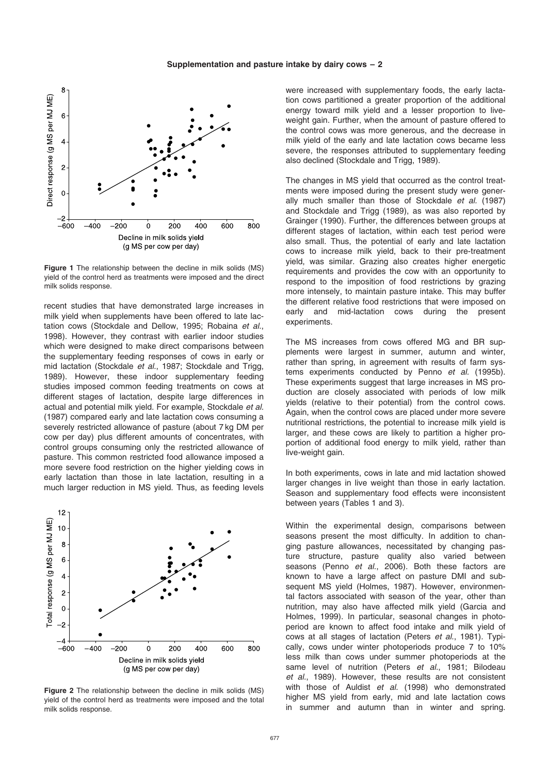

Figure 1 The relationship between the decline in milk solids (MS) yield of the control herd as treatments were imposed and the direct milk solids response.

recent studies that have demonstrated large increases in milk yield when supplements have been offered to late lactation cows (Stockdale and Dellow, 1995; Robaina et al., 1998). However, they contrast with earlier indoor studies which were designed to make direct comparisons between the supplementary feeding responses of cows in early or mid lactation (Stockdale et al., 1987; Stockdale and Trigg, 1989). However, these indoor supplementary feeding studies imposed common feeding treatments on cows at different stages of lactation, despite large differences in actual and potential milk yield. For example, Stockdale et al. (1987) compared early and late lactation cows consuming a severely restricted allowance of pasture (about 7 kg DM per cow per day) plus different amounts of concentrates, with control groups consuming only the restricted allowance of pasture. This common restricted food allowance imposed a more severe food restriction on the higher yielding cows in early lactation than those in late lactation, resulting in a much larger reduction in MS yield. Thus, as feeding levels



Figure 2 The relationship between the decline in milk solids (MS) yield of the control herd as treatments were imposed and the total milk solids response.

were increased with supplementary foods, the early lactation cows partitioned a greater proportion of the additional energy toward milk yield and a lesser proportion to liveweight gain. Further, when the amount of pasture offered to the control cows was more generous, and the decrease in milk yield of the early and late lactation cows became less severe, the responses attributed to supplementary feeding also declined (Stockdale and Trigg, 1989).

The changes in MS yield that occurred as the control treatments were imposed during the present study were generally much smaller than those of Stockdale et al. (1987) and Stockdale and Trigg (1989), as was also reported by Grainger (1990). Further, the differences between groups at different stages of lactation, within each test period were also small. Thus, the potential of early and late lactation cows to increase milk yield, back to their pre-treatment yield, was similar. Grazing also creates higher energetic requirements and provides the cow with an opportunity to respond to the imposition of food restrictions by grazing more intensely, to maintain pasture intake. This may buffer the different relative food restrictions that were imposed on early and mid-lactation cows during the present experiments.

The MS increases from cows offered MG and BR supplements were largest in summer, autumn and winter, rather than spring, in agreement with results of farm systems experiments conducted by Penno et al. (1995b). These experiments suggest that large increases in MS production are closely associated with periods of low milk yields (relative to their potential) from the control cows. Again, when the control cows are placed under more severe nutritional restrictions, the potential to increase milk yield is larger, and these cows are likely to partition a higher proportion of additional food energy to milk yield, rather than live-weight gain.

In both experiments, cows in late and mid lactation showed larger changes in live weight than those in early lactation. Season and supplementary food effects were inconsistent between years (Tables 1 and 3).

Within the experimental design, comparisons between seasons present the most difficulty. In addition to changing pasture allowances, necessitated by changing pasture structure, pasture quality also varied between seasons (Penno et al., 2006). Both these factors are known to have a large affect on pasture DMI and subsequent MS yield (Holmes, 1987). However, environmental factors associated with season of the year, other than nutrition, may also have affected milk yield (Garcia and Holmes, 1999). In particular, seasonal changes in photoperiod are known to affect food intake and milk yield of cows at all stages of lactation (Peters et al., 1981). Typically, cows under winter photoperiods produce 7 to 10% less milk than cows under summer photoperiods at the same level of nutrition (Peters et al., 1981; Bilodeau et al., 1989). However, these results are not consistent with those of Auldist et al. (1998) who demonstrated higher MS yield from early, mid and late lactation cows in summer and autumn than in winter and spring.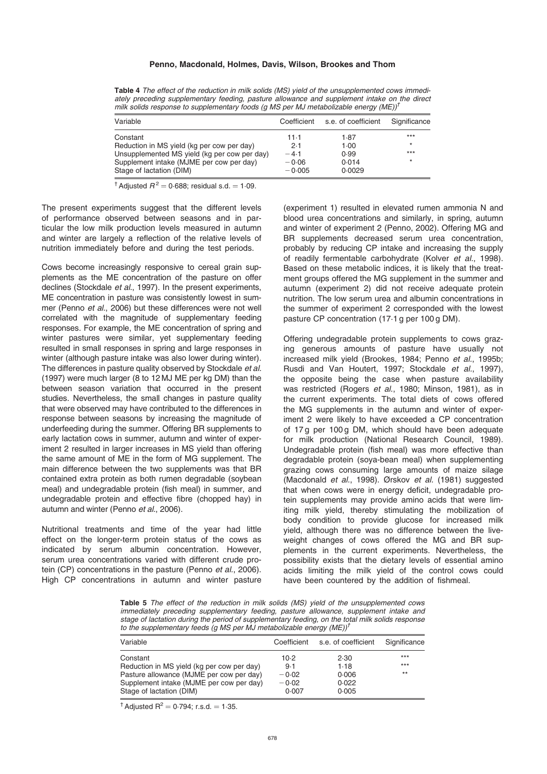#### Penno, Macdonald, Holmes, Davis, Wilson, Brookes and Thom

Table 4 The effect of the reduction in milk solids (MS) yield of the unsupplemented cows immediately preceding supplementary feeding, pasture allowance and supplement intake on the direct milk solids response to supplementary foods (g MS per MJ metabolizable energy  $(ME)^{\dagger}$ 

| Variable                                     | Coefficient | s.e. of coefficient | Significance |
|----------------------------------------------|-------------|---------------------|--------------|
| Constant                                     | 11.1        | 1.87                | $***$        |
| Reduction in MS yield (kg per cow per day)   | 2.1         | $1-00$              | $\star$      |
| Unsupplemented MS yield (kg per cow per day) | $-4.1$      | 0.99                | $***$        |
| Supplement intake (MJME per cow per day)     | $-0.06$     | 0.014               | $\star$      |
| Stage of lactation (DIM)                     | $-0.005$    | 0.0029              |              |

<sup>†</sup> Adjusted  $R^2$  = 0·688; residual s.d. = 1·09.

The present experiments suggest that the different levels of performance observed between seasons and in particular the low milk production levels measured in autumn and winter are largely a reflection of the relative levels of nutrition immediately before and during the test periods.

Cows become increasingly responsive to cereal grain supplements as the ME concentration of the pasture on offer declines (Stockdale et al., 1997). In the present experiments, ME concentration in pasture was consistently lowest in summer (Penno et al., 2006) but these differences were not well correlated with the magnitude of supplementary feeding responses. For example, the ME concentration of spring and winter pastures were similar, yet supplementary feeding resulted in small responses in spring and large responses in winter (although pasture intake was also lower during winter). The differences in pasture quality observed by Stockdale et al. (1997) were much larger (8 to 12 MJ ME per kg DM) than the between season variation that occurred in the present studies. Nevertheless, the small changes in pasture quality that were observed may have contributed to the differences in response between seasons by increasing the magnitude of underfeeding during the summer. Offering BR supplements to early lactation cows in summer, autumn and winter of experiment 2 resulted in larger increases in MS yield than offering the same amount of ME in the form of MG supplement. The main difference between the two supplements was that BR contained extra protein as both rumen degradable (soybean meal) and undegradable protein (fish meal) in summer, and undegradable protein and effective fibre (chopped hay) in autumn and winter (Penno et al., 2006).

Nutritional treatments and time of the year had little effect on the longer-term protein status of the cows as indicated by serum albumin concentration. However, serum urea concentrations varied with different crude protein (CP) concentrations in the pasture (Penno et al., 2006). High CP concentrations in autumn and winter pasture (experiment 1) resulted in elevated rumen ammonia N and blood urea concentrations and similarly, in spring, autumn and winter of experiment 2 (Penno, 2002). Offering MG and BR supplements decreased serum urea concentration, probably by reducing CP intake and increasing the supply of readily fermentable carbohydrate (Kolver et al., 1998). Based on these metabolic indices, it is likely that the treatment groups offered the MG supplement in the summer and autumn (experiment 2) did not receive adequate protein nutrition. The low serum urea and albumin concentrations in the summer of experiment 2 corresponded with the lowest pasture CP concentration (17·1 g per 100 g DM).

Offering undegradable protein supplements to cows grazing generous amounts of pasture have usually not increased milk yield (Brookes, 1984; Penno et al., 1995b; Rusdi and Van Houtert, 1997; Stockdale et al., 1997), the opposite being the case when pasture availability was restricted (Rogers et al., 1980; Minson, 1981), as in the current experiments. The total diets of cows offered the MG supplements in the autumn and winter of experiment 2 were likely to have exceeded a CP concentration of 17 g per 100 g DM, which should have been adequate for milk production (National Research Council, 1989). Undegradable protein (fish meal) was more effective than degradable protein (soya-bean meal) when supplementing grazing cows consuming large amounts of maize silage (Macdonald et al., 1998). Ørskov et al. (1981) suggested that when cows were in energy deficit, undegradable protein supplements may provide amino acids that were limiting milk yield, thereby stimulating the mobilization of body condition to provide glucose for increased milk yield, although there was no difference between the liveweight changes of cows offered the MG and BR supplements in the current experiments. Nevertheless, the possibility exists that the dietary levels of essential amino acids limiting the milk yield of the control cows could have been countered by the addition of fishmeal.

Table 5 The effect of the reduction in milk solids (MS) yield of the unsupplemented cows immediately preceding supplementary feeding, pasture allowance, supplement intake and stage of lactation during the period of supplementary feeding, on the total milk solids response to the supplementary feeds (g MS per MJ metabolizable energy  $(ME))^{\dagger}$ 

| Variable                                                             | Coefficient      | s.e. of coefficient | Significance |
|----------------------------------------------------------------------|------------------|---------------------|--------------|
| Constant                                                             | $10-2$           | 2.30                | $***$        |
| Reduction in MS yield (kg per cow per day)                           | 9.1              | 1.18                | $***$        |
| Pasture allowance (MJME per cow per day)                             | $-0.02$          | 0.006               | $***$        |
| Supplement intake (MJME per cow per day)<br>Stage of lactation (DIM) | $-0.02$<br>0.007 | 0.022<br>0.005      |              |

<sup>†</sup> Adjusted R<sup>2</sup> = 0·794; r.s.d. = 1·35.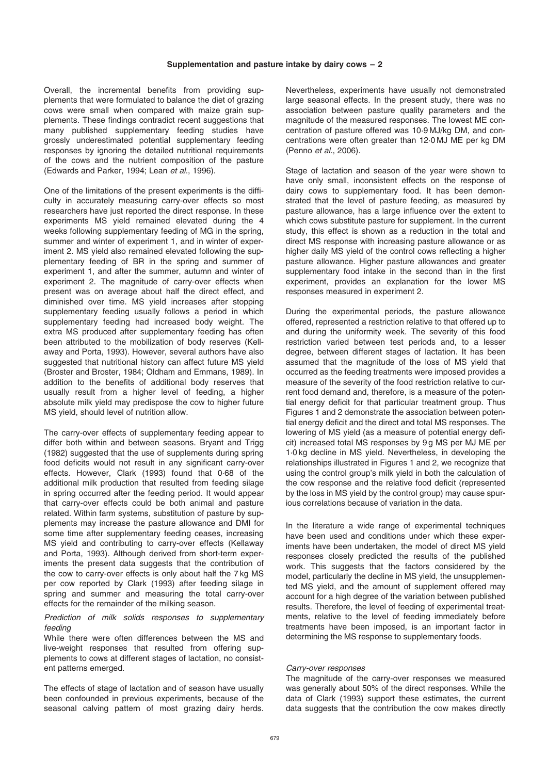Overall, the incremental benefits from providing supplements that were formulated to balance the diet of grazing cows were small when compared with maize grain supplements. These findings contradict recent suggestions that many published supplementary feeding studies have grossly underestimated potential supplementary feeding responses by ignoring the detailed nutritional requirements of the cows and the nutrient composition of the pasture (Edwards and Parker, 1994; Lean et al., 1996).

One of the limitations of the present experiments is the difficulty in accurately measuring carry-over effects so most researchers have just reported the direct response. In these experiments MS yield remained elevated during the 4 weeks following supplementary feeding of MG in the spring, summer and winter of experiment 1, and in winter of experiment 2. MS yield also remained elevated following the supplementary feeding of BR in the spring and summer of experiment 1, and after the summer, autumn and winter of experiment 2. The magnitude of carry-over effects when present was on average about half the direct effect, and diminished over time. MS yield increases after stopping supplementary feeding usually follows a period in which supplementary feeding had increased body weight. The extra MS produced after supplementary feeding has often been attributed to the mobilization of body reserves (Kellaway and Porta, 1993). However, several authors have also suggested that nutritional history can affect future MS yield (Broster and Broster, 1984; Oldham and Emmans, 1989). In addition to the benefits of additional body reserves that usually result from a higher level of feeding, a higher absolute milk yield may predispose the cow to higher future MS yield, should level of nutrition allow.

The carry-over effects of supplementary feeding appear to differ both within and between seasons. Bryant and Trigg (1982) suggested that the use of supplements during spring food deficits would not result in any significant carry-over effects. However, Clark (1993) found that 0·68 of the additional milk production that resulted from feeding silage in spring occurred after the feeding period. It would appear that carry-over effects could be both animal and pasture related. Within farm systems, substitution of pasture by supplements may increase the pasture allowance and DMI for some time after supplementary feeding ceases, increasing MS yield and contributing to carry-over effects (Kellaway and Porta, 1993). Although derived from short-term experiments the present data suggests that the contribution of the cow to carry-over effects is only about half the 7 kg MS per cow reported by Clark (1993) after feeding silage in spring and summer and measuring the total carry-over effects for the remainder of the milking season.

## Prediction of milk solids responses to supplementary feeding

While there were often differences between the MS and live-weight responses that resulted from offering supplements to cows at different stages of lactation, no consistent patterns emerged.

The effects of stage of lactation and of season have usually been confounded in previous experiments, because of the seasonal calving pattern of most grazing dairy herds.

Nevertheless, experiments have usually not demonstrated large seasonal effects. In the present study, there was no association between pasture quality parameters and the magnitude of the measured responses. The lowest ME concentration of pasture offered was 10·9 MJ/kg DM, and concentrations were often greater than 12·0 MJ ME per kg DM (Penno et al., 2006).

Stage of lactation and season of the year were shown to have only small, inconsistent effects on the response of dairy cows to supplementary food. It has been demonstrated that the level of pasture feeding, as measured by pasture allowance, has a large influence over the extent to which cows substitute pasture for supplement. In the current study, this effect is shown as a reduction in the total and direct MS response with increasing pasture allowance or as higher daily MS yield of the control cows reflecting a higher pasture allowance. Higher pasture allowances and greater supplementary food intake in the second than in the first experiment, provides an explanation for the lower MS responses measured in experiment 2.

During the experimental periods, the pasture allowance offered, represented a restriction relative to that offered up to and during the uniformity week. The severity of this food restriction varied between test periods and, to a lesser degree, between different stages of lactation. It has been assumed that the magnitude of the loss of MS yield that occurred as the feeding treatments were imposed provides a measure of the severity of the food restriction relative to current food demand and, therefore, is a measure of the potential energy deficit for that particular treatment group. Thus Figures 1 and 2 demonstrate the association between potential energy deficit and the direct and total MS responses. The lowering of MS yield (as a measure of potential energy deficit) increased total MS responses by 9 g MS per MJ ME per 1·0 kg decline in MS yield. Nevertheless, in developing the relationships illustrated in Figures 1 and 2, we recognize that using the control group's milk yield in both the calculation of the cow response and the relative food deficit (represented by the loss in MS yield by the control group) may cause spurious correlations because of variation in the data.

In the literature a wide range of experimental techniques have been used and conditions under which these experiments have been undertaken, the model of direct MS yield responses closely predicted the results of the published work. This suggests that the factors considered by the model, particularly the decline in MS yield, the unsupplemented MS yield, and the amount of supplement offered may account for a high degree of the variation between published results. Therefore, the level of feeding of experimental treatments, relative to the level of feeding immediately before treatments have been imposed, is an important factor in determining the MS response to supplementary foods.

## Carry-over responses

The magnitude of the carry-over responses we measured was generally about 50% of the direct responses. While the data of Clark (1993) support these estimates, the current data suggests that the contribution the cow makes directly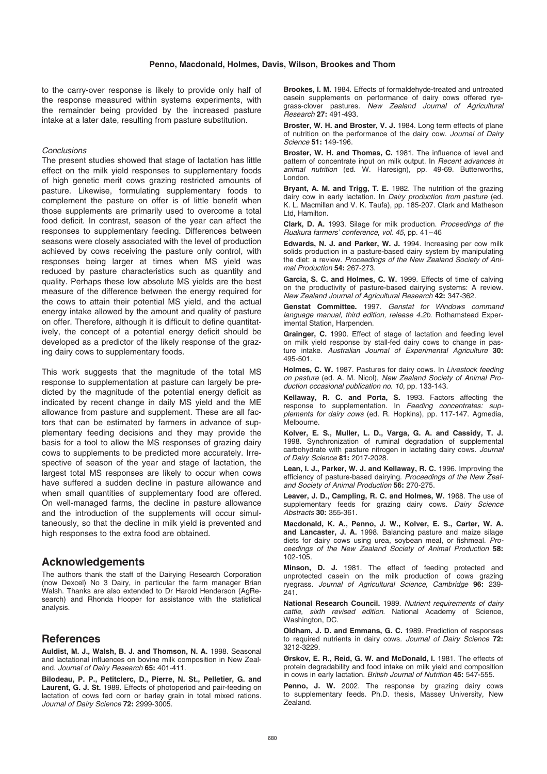to the carry-over response is likely to provide only half of the response measured within systems experiments, with the remainder being provided by the increased pasture intake at a later date, resulting from pasture substitution.

#### **Conclusions**

The present studies showed that stage of lactation has little effect on the milk yield responses to supplementary foods of high genetic merit cows grazing restricted amounts of pasture. Likewise, formulating supplementary foods to complement the pasture on offer is of little benefit when those supplements are primarily used to overcome a total food deficit. In contrast, season of the year can affect the responses to supplementary feeding. Differences between seasons were closely associated with the level of production achieved by cows receiving the pasture only control, with responses being larger at times when MS yield was reduced by pasture characteristics such as quantity and quality. Perhaps these low absolute MS yields are the best measure of the difference between the energy required for the cows to attain their potential MS yield, and the actual energy intake allowed by the amount and quality of pasture on offer. Therefore, although it is difficult to define quantitatively, the concept of a potential energy deficit should be developed as a predictor of the likely response of the grazing dairy cows to supplementary foods.

This work suggests that the magnitude of the total MS response to supplementation at pasture can largely be predicted by the magnitude of the potential energy deficit as indicated by recent change in daily MS yield and the ME allowance from pasture and supplement. These are all factors that can be estimated by farmers in advance of supplementary feeding decisions and they may provide the basis for a tool to allow the MS responses of grazing dairy cows to supplements to be predicted more accurately. Irrespective of season of the year and stage of lactation, the largest total MS responses are likely to occur when cows have suffered a sudden decline in pasture allowance and when small quantities of supplementary food are offered. On well-managed farms, the decline in pasture allowance and the introduction of the supplements will occur simultaneously, so that the decline in milk yield is prevented and high responses to the extra food are obtained.

## Acknowledgements

The authors thank the staff of the Dairying Research Corporation (now Dexcel) No 3 Dairy, in particular the farm manager Brian Walsh. Thanks are also extended to Dr Harold Henderson (AgResearch) and Rhonda Hooper for assistance with the statistical analysis.

## **References**

Auldist, M. J., Walsh, B. J. and Thomson, N. A. 1998. Seasonal and lactational influences on bovine milk composition in New Zealand. Journal of Dairy Research 65: 401-411.

Bilodeau, P. P., Petitclerc, D., Pierre, N. St., Pelletier, G. and Laurent, G. J. St. 1989. Effects of photoperiod and pair-feeding on lactation of cows fed corn or barley grain in total mixed rations. Journal of Dairy Science 72: 2999-3005.

Brookes, I. M. 1984. Effects of formaldehyde-treated and untreated casein supplements on performance of dairy cows offered ryegrass-clover pastures. New Zealand Journal of Agricultural Research 27: 491-493.

Broster, W. H. and Broster, V. J. 1984. Long term effects of plane of nutrition on the performance of the dairy cow. Journal of Dairy Science 51: 149-196.

Broster, W. H. and Thomas, C. 1981. The influence of level and pattern of concentrate input on milk output. In Recent advances in animal nutrition (ed. W. Haresign), pp. 49-69. Butterworths, London.

Brvant, A. M. and Trigg, T. E. 1982. The nutrition of the grazing dairy cow in early lactation. In Dairy production from pasture (ed. K. L. Macmillan and V. K. Taufa), pp. 185-207. Clark and Matheson Ltd, Hamilton.

Clark, D. A. 1993. Silage for milk production. Proceedings of the Ruakura farmers' conference, vol. 45, pp. 41–46

Edwards, N. J. and Parker, W. J. 1994. Increasing per cow milk solids production in a pasture-based dairy system by manipulating the diet: a review. Proceedings of the New Zealand Society of Animal Production 54: 267-273.

Garcia, S. C. and Holmes, C. W. 1999. Effects of time of calving on the productivity of pasture-based dairying systems: A review. New Zealand Journal of Agricultural Research 42: 347-362.

Genstat Committee. 1997. Genstat for Windows command language manual, third edition, release 4.2b. Rothamstead Experimental Station, Harpenden.

Grainger, C. 1990. Effect of stage of lactation and feeding level on milk yield response by stall-fed dairy cows to change in pasture intake. Australian Journal of Experimental Agriculture 30: 495-501.

Holmes, C. W. 1987. Pastures for dairy cows. In Livestock feeding on pasture (ed. A. M. Nicol), New Zealand Society of Animal Production occasional publication no. 10, pp. 133-143.

Kellaway, R. C. and Porta, S. 1993. Factors affecting the response to supplementation. In Feeding concentrates: supplements for dairy cows (ed. R. Hopkins), pp. 117-147. Agmedia, Melbourne.

Kolver, E. S., Muller, L. D., Varga, G. A. and Cassidy, T. J. 1998. Synchronization of ruminal degradation of supplemental carbohydrate with pasture nitrogen in lactating dairy cows. Journal of Dairy Science 81: 2017-2028.

Lean, I. J., Parker, W. J. and Kellaway, R. C. 1996. Improving the efficiency of pasture-based dairying. Proceedings of the New Zealand Society of Animal Production 56: 270-275.

Leaver, J. D., Campling, R. C. and Holmes, W. 1968. The use of supplementary feeds for grazing dairy cows. Dairy Science Abstracts 30: 355-361.

Macdonald, K. A., Penno, J. W., Kolver, E. S., Carter, W. A. and Lancaster, J. A. 1998. Balancing pasture and maize silage diets for dairy cows using urea, soybean meal, or fishmeal. Proceedings of the New Zealand Society of Animal Production 58: 102-105.

Minson, D. J. 1981. The effect of feeding protected and unprotected casein on the milk production of cows grazing ryegrass. Journal of Agricultural Science, Cambridge 96: 239-  $241$ 

National Research Council. 1989. Nutrient requirements of dairy cattle, sixth revised edition. National Academy of Science, Washington, DC.

Oldham, J. D. and Emmans, G. C. 1989. Prediction of responses to required nutrients in dairy cows. Journal of Dairy Science 72: 3212-3229.

Ørskov, E. R., Reid, G. W. and McDonald, I. 1981. The effects of protein degradability and food intake on milk yield and composition in cows in early lactation. British Journal of Nutrition 45: 547-555.

Penno, J. W. 2002. The response by grazing dairy cows to supplementary feeds. Ph.D. thesis, Massey University, New Zealand.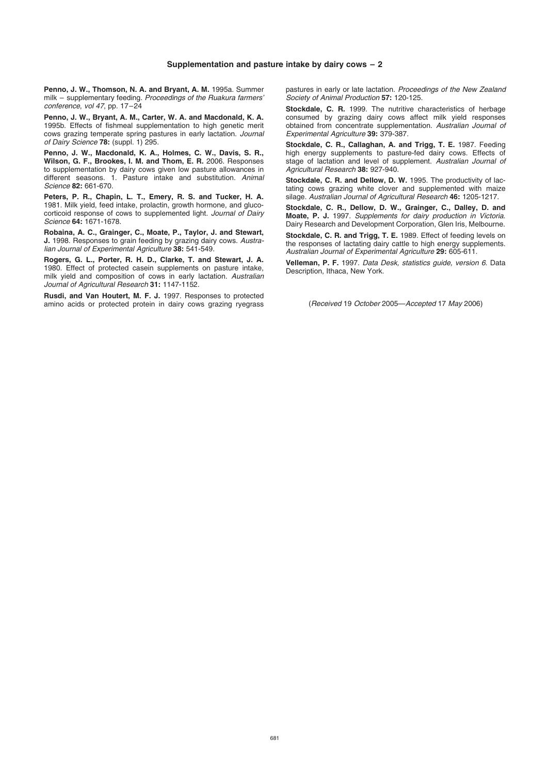Penno, J. W., Thomson, N. A. and Bryant, A. M. 1995a. Summer milk – supplementary feeding. Proceedings of the Ruakura farmers' conference, vol 47, pp. 17–24

Penno, J. W., Bryant, A. M., Carter, W. A. and Macdonald, K. A. 1995b. Effects of fishmeal supplementation to high genetic merit cows grazing temperate spring pastures in early lactation. Journal of Dairy Science 78: (suppl. 1) 295.

Penno, J. W., Macdonald, K. A., Holmes, C. W., Davis, S. R., Wilson, G. F., Brookes, I. M. and Thom, E. R. 2006. Responses to supplementation by dairy cows given low pasture allowances in different seasons. 1. Pasture intake and substitution. Animal Science 82: 661-670.

Peters, P. R., Chapin, L. T., Emery, R. S. and Tucker, H. A. 1981. Milk yield, feed intake, prolactin, growth hormone, and glucocorticoid response of cows to supplemented light. Journal of Dairy Science 64: 1671-1678.

Robaina, A. C., Grainger, C., Moate, P., Taylor, J. and Stewart, J. 1998. Responses to grain feeding by grazing dairy cows. Australian Journal of Experimental Agriculture 38: 541-549.

Rogers, G. L., Porter, R. H. D., Clarke, T. and Stewart, J. A. 1980. Effect of protected casein supplements on pasture intake, milk yield and composition of cows in early lactation. Australian Journal of Agricultural Research 31: 1147-1152.

Rusdi, and Van Houtert, M. F. J. 1997. Responses to protected amino acids or protected protein in dairy cows grazing ryegrass

pastures in early or late lactation. Proceedings of the New Zealand Society of Animal Production 57: 120-125.

Stockdale, C. R. 1999. The nutritive characteristics of herbage consumed by grazing dairy cows affect milk yield responses obtained from concentrate supplementation. Australian Journal of Experimental Agriculture 39: 379-387.

Stockdale, C. R., Callaghan, A. and Trigg, T. E. 1987. Feeding high energy supplements to pasture-fed dairy cows. Effects of stage of lactation and level of supplement. Australian Journal of Agricultural Research 38: 927-940.

Stockdale, C. R. and Dellow, D. W. 1995. The productivity of lactating cows grazing white clover and supplemented with maize silage. Australian Journal of Agricultural Research 46: 1205-1217.

Stockdale, C. R., Dellow, D. W., Grainger, C., Dalley, D. and Moate, P. J. 1997. Supplements for dairy production in Victoria. Dairy Research and Development Corporation, Glen Iris, Melbourne.

Stockdale, C. R. and Trigg, T. E. 1989. Effect of feeding levels on the responses of lactating dairy cattle to high energy supplements. Australian Journal of Experimental Agriculture 29: 605-611.

Velleman, P. F. 1997. Data Desk, statistics guide, version 6. Data Description, Ithaca, New York.

(Received 19 October 2005—Accepted 17 May 2006)